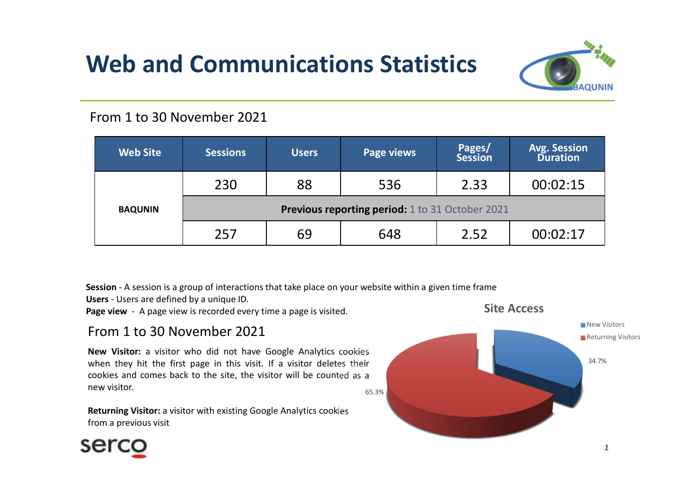# Web and Communications Statistics



#### From 1 to 30 November 2021

| <b>Avg. Session</b><br>Pages/<br><b>Web Site</b><br><b>Page views</b><br><b>Sessions</b><br><b>Users</b><br><b>Duration</b><br><b>Session</b> |
|-----------------------------------------------------------------------------------------------------------------------------------------------|
|                                                                                                                                               |
| 230<br>88<br>00:02:15<br>536<br>2.33                                                                                                          |
| Previous reporting period: 1 to 31 October 2021<br><b>BAQUNIN</b>                                                                             |
| 257<br>69<br>00:02:17<br>648<br>2.52                                                                                                          |

#### From 1 to 30 November 2021

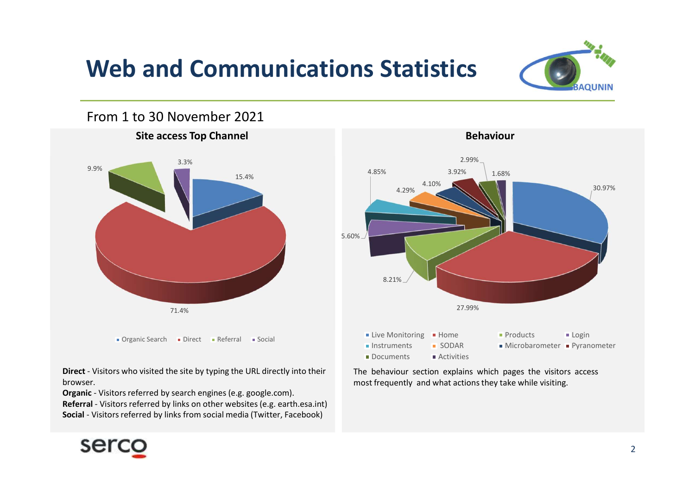# Web and Communications Statistics



### From 1 to 30 November 2021







browser.